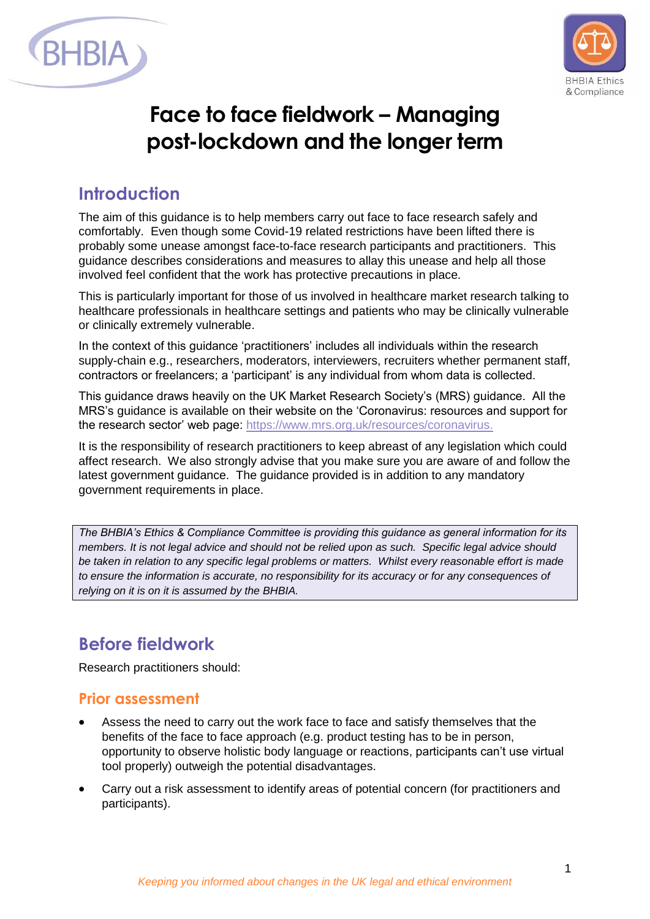



# **Face to face fieldwork – Managing post-lockdown and the longer term**

### **Introduction**

The aim of this guidance is to help members carry out face to face research safely and comfortably. Even though some Covid-19 related restrictions have been lifted there is probably some unease amongst face-to-face research participants and practitioners. This guidance describes considerations and measures to allay this unease and help all those involved feel confident that the work has protective precautions in place.

This is particularly important for those of us involved in healthcare market research talking to healthcare professionals in healthcare settings and patients who may be clinically vulnerable or clinically extremely vulnerable.

In the context of this guidance 'practitioners' includes all individuals within the research supply-chain e.g., researchers, moderators, interviewers, recruiters whether permanent staff, contractors or freelancers; a 'participant' is any individual from whom data is collected.

This guidance draws heavily on the UK Market Research Society's (MRS) guidance. All the MRS's guidance is available on their website on the 'Coronavirus: resources and support for the research sector' web page: [https://www.mrs.org.uk/resources/coronavirus.](https://www.mrs.org.uk/resources/coronavirus)

It is the responsibility of research practitioners to keep abreast of any legislation which could affect research. We also strongly advise that you make sure you are aware of and follow the latest government guidance. The guidance provided is in addition to any mandatory government requirements in place.

*The BHBIA's Ethics & Compliance Committee is providing this guidance as general information for its members. It is not legal advice and should not be relied upon as such. Specific legal advice should be taken in relation to any specific legal problems or matters. Whilst every reasonable effort is made to ensure the information is accurate, no responsibility for its accuracy or for any consequences of relying on it is on it is assumed by the BHBIA.*

## **Before fieldwork**

Research practitioners should:

#### **Prior assessment**

- Assess the need to carry out the work face to face and satisfy themselves that the benefits of the face to face approach (e.g. product testing has to be in person, opportunity to observe holistic body language or reactions, participants can't use virtual tool properly) outweigh the potential disadvantages.
- Carry out a risk assessment to identify areas of potential concern (for practitioners and participants).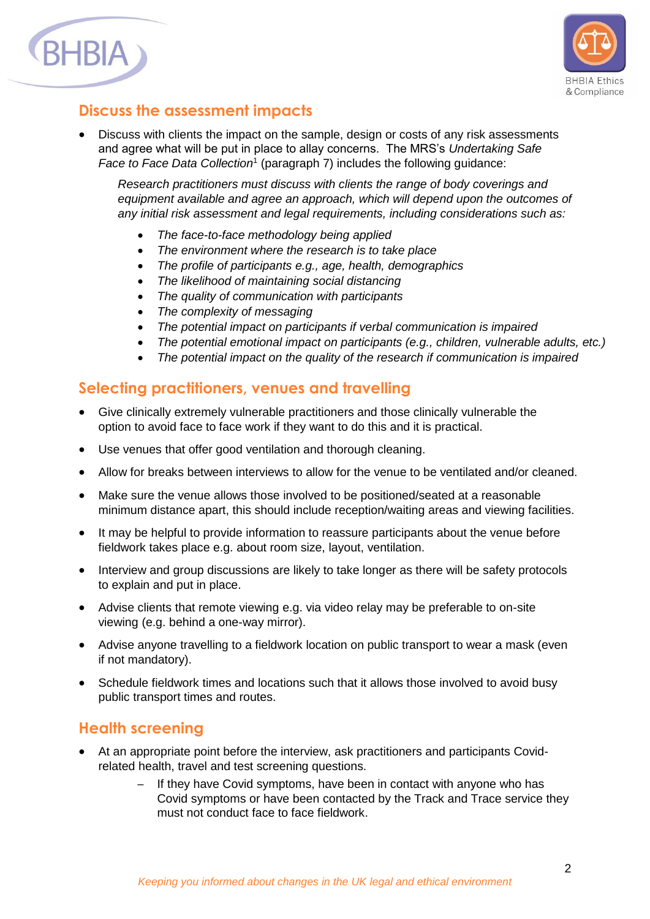



#### **Discuss the assessment impacts**

• Discuss with clients the impact on the sample, design or costs of any risk assessments and agree what will be put in place to allay concerns. The MRS's *Undertaking Safe*  Face to Face Data Collection<sup>1</sup> (paragraph 7) includes the following guidance:

*Research practitioners must discuss with clients the range of body coverings and*  equipment available and agree an approach, which will depend upon the outcomes of *any initial risk assessment and legal requirements, including considerations such as:* 

- *The face-to-face methodology being applied*
- *The environment where the research is to take place*
- *The profile of participants e.g., age, health, demographics*
- *The likelihood of maintaining social distancing*
- *The quality of communication with participants*
- *The complexity of messaging*
- *The potential impact on participants if verbal communication is impaired*
- *The potential emotional impact on participants (e.g., children, vulnerable adults, etc.)*
- *The potential impact on the quality of the research if communication is impaired*

#### **Selecting practitioners, venues and travelling**

- Give clinically extremely vulnerable practitioners and those clinically vulnerable the option to avoid face to face work if they want to do this and it is practical.
- Use venues that offer good ventilation and thorough cleaning.
- Allow for breaks between interviews to allow for the venue to be ventilated and/or cleaned.
- Make sure the venue allows those involved to be positioned/seated at a reasonable minimum distance apart, this should include reception/waiting areas and viewing facilities.
- It may be helpful to provide information to reassure participants about the venue before fieldwork takes place e.g. about room size, layout, ventilation.
- Interview and group discussions are likely to take longer as there will be safety protocols to explain and put in place.
- Advise clients that remote viewing e.g. via video relay may be preferable to on-site viewing (e.g. behind a one-way mirror).
- Advise anyone travelling to a fieldwork location on public transport to wear a mask (even if not mandatory).
- Schedule fieldwork times and locations such that it allows those involved to avoid busy public transport times and routes.

#### **Health screening**

- At an appropriate point before the interview, ask practitioners and participants Covidrelated health, travel and test screening questions.
	- If they have Covid symptoms, have been in contact with anyone who has Covid symptoms or have been contacted by the Track and Trace service they must not conduct face to face fieldwork.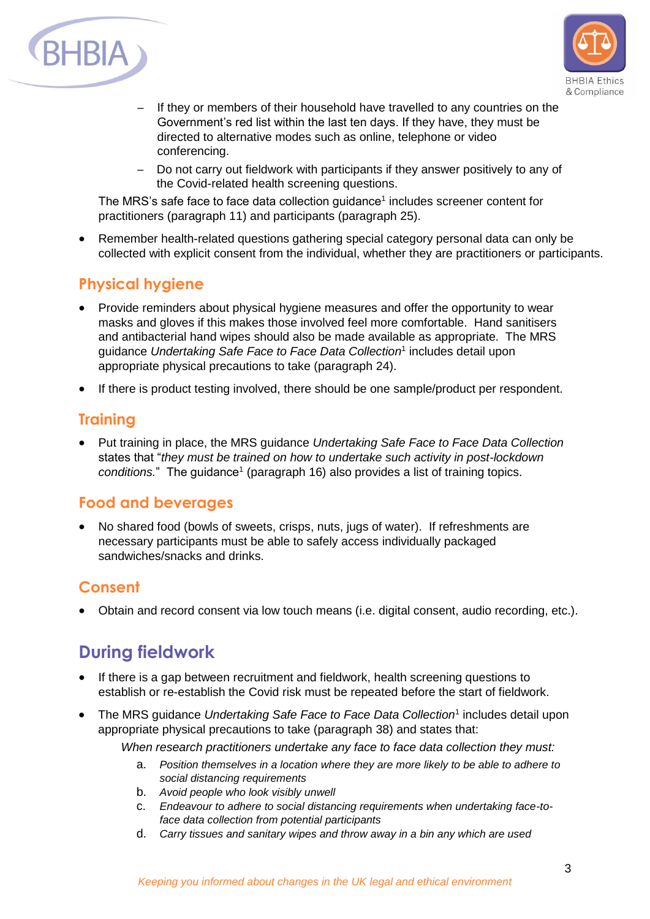



- If they or members of their household have travelled to any countries on the Government's red list within the last ten days. If they have, they must be directed to alternative modes such as online, telephone or video conferencing.
- Do not carry out fieldwork with participants if they answer positively to any of the Covid-related health screening questions.

The MRS's safe face to face data collection guidance<sup>1</sup> includes screener content for practitioners (paragraph 11) and participants (paragraph 25).

• Remember health-related questions gathering special category personal data can only be collected with explicit consent from the individual, whether they are practitioners or participants.

#### **Physical hygiene**

- Provide reminders about physical hygiene measures and offer the opportunity to wear masks and gloves if this makes those involved feel more comfortable. Hand sanitisers and antibacterial hand wipes should also be made available as appropriate. The MRS guidance *Undertaking Safe Face to Face Data Collection* 1 includes detail upon appropriate physical precautions to take (paragraph 24).
- If there is product testing involved, there should be one sample/product per respondent.

### **Training**

 Put training in place, the MRS guidance *Undertaking Safe Face to Face Data Collection* states that "*they must be trained on how to undertake such activity in post-lockdown*  conditions." The guidance<sup>1</sup> (paragraph 16) also provides a list of training topics.

### **Food and beverages**

 No shared food (bowls of sweets, crisps, nuts, jugs of water). If refreshments are necessary participants must be able to safely access individually packaged sandwiches/snacks and drinks.

### **Consent**

Obtain and record consent via low touch means (i.e. digital consent, audio recording, etc.).

## **During fieldwork**

- If there is a gap between recruitment and fieldwork, health screening questions to establish or re-establish the Covid risk must be repeated before the start of fieldwork.
- The MRS guidance *Undertaking Safe Face to Face Data Collection<sup>1</sup>* includes detail upon appropriate physical precautions to take (paragraph 38) and states that:

*When research practitioners undertake any face to face data collection they must:*

- a. *Position themselves in a location where they are more likely to be able to adhere to social distancing requirements*
- b. *Avoid people who look visibly unwell*
- c. *Endeavour to adhere to social distancing requirements when undertaking face-toface data collection from potential participants*
- d. *Carry tissues and sanitary wipes and throw away in a bin any which are used*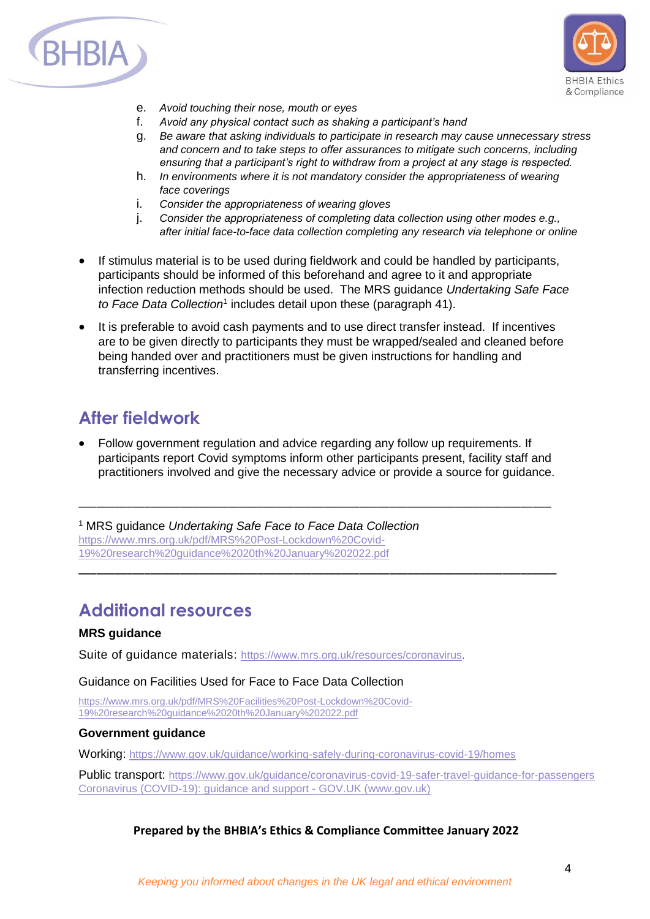



- e. *Avoid touching their nose, mouth or eyes*
- f. *Avoid any physical contact such as shaking a participant's hand*
- g. *Be aware that asking individuals to participate in research may cause unnecessary stress and concern and to take steps to offer assurances to mitigate such concerns, including ensuring that a participant's right to withdraw from a project at any stage is respected.*
- h. *In environments where it is not mandatory consider the appropriateness of wearing face coverings*
- i. *Consider the appropriateness of wearing gloves*
- j. *Consider the appropriateness of completing data collection using other modes e.g., after initial face-to-face data collection completing any research via telephone or online*
- If stimulus material is to be used during fieldwork and could be handled by participants, participants should be informed of this beforehand and agree to it and appropriate infection reduction methods should be used. The MRS guidance *Undertaking Safe Face*  to Face Data Collection<sup>1</sup> includes detail upon these (paragraph 41).
- It is preferable to avoid cash payments and to use direct transfer instead. If incentives are to be given directly to participants they must be wrapped/sealed and cleaned before being handed over and practitioners must be given instructions for handling and transferring incentives.

## **After fieldwork**

 Follow government regulation and advice regarding any follow up requirements. If participants report Covid symptoms inform other participants present, facility staff and practitioners involved and give the necessary advice or provide a source for guidance.

\_\_\_\_\_\_\_\_\_\_\_\_\_\_\_\_\_\_\_\_\_\_\_\_\_\_\_\_\_\_\_\_\_\_\_\_\_\_\_\_\_\_\_\_\_\_\_\_\_\_\_\_\_\_\_\_\_\_\_\_\_\_\_\_\_\_\_\_\_\_\_\_\_\_\_\_\_\_\_

**\_\_\_\_\_\_\_\_\_\_\_\_\_\_\_\_\_\_\_\_\_\_\_\_\_\_\_\_\_\_\_\_\_\_\_\_\_\_\_\_\_\_\_\_\_\_\_\_\_\_\_\_\_\_\_\_\_\_\_\_\_\_\_\_\_\_\_\_\_\_\_\_\_\_\_\_\_\_\_\_**

<sup>1</sup> MRS guidance *Undertaking Safe Face to Face Data Collection* [https://www.mrs.org.uk/pdf/MRS%20Post-Lockdown%20Covid-](https://www.mrs.org.uk/pdf/MRS%20Post-Lockdown%20Covid-19%20research%20guidance%2020th%20January%202022.pdf)[19%20research%20guidance%2020th%20January%202022.pdf](https://www.mrs.org.uk/pdf/MRS%20Post-Lockdown%20Covid-19%20research%20guidance%2020th%20January%202022.pdf)

### **Additional resources**

#### **MRS guidance**

Suite of quidance materials: <https://www.mrs.org.uk/resources/coronavirus>.

Guidance on Facilities Used for Face to Face Data Collection

[https://www.mrs.org.uk/pdf/MRS%20Facilities%20Post-Lockdown%20Covid-](https://www.mrs.org.uk/pdf/MRS%20Facilities%20Post-Lockdown%20Covid-19%20research%20guidance%2020th%20January%202022.pdf)[19%20research%20guidance%2020th%20January%202022.pdf](https://www.mrs.org.uk/pdf/MRS%20Facilities%20Post-Lockdown%20Covid-19%20research%20guidance%2020th%20January%202022.pdf)

#### **Government guidance**

Working: <https://www.gov.uk/guidance/working-safely-during-coronavirus-covid-19/homes>

Public transport: <https://www.gov.uk/guidance/coronavirus-covid-19-safer-travel-guidance-for-passengers> [Coronavirus \(COVID-19\): guidance and support -](https://www.gov.uk/coronavirus) GOV.UK (www.gov.uk)

#### **Prepared by the BHBIA's Ethics & Compliance Committee January 2022**